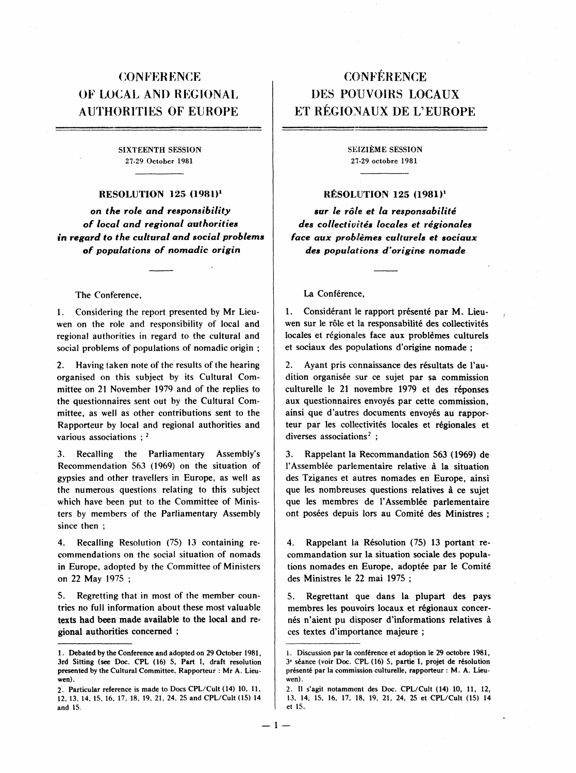## **CONFERENCE** OF LOCAL AND REGIONAL AUTHORITIES OF EUROPE

### SIXTEENTH SESSION 27-29 October 1981

#### RESOLUTION 125 (1981)<sup>1</sup>

on the role and responsibility of local and regional authorities in regard to the cultural and social problems of populations of nomadic origin

#### The Conference,

1. Considering the report presented by Mr Lieuwen on the role and responsibility of local and regional authorities in regard to the cultural and social problems of populations of nomadic origin;

2. Having taken note of the results of the hearing organised on this subject by its Cultural Committee on 21 November 1979 and of the replies to the questionnaires sent out by the Cultural Committee, as well as other contributions sent to the Rapporteur by local and regional authorities and various associations;  $2$ 

3. Recalling the Parliamentary Assembly's Recommendation 563 (1969) on the situation of gypsies and other travellers in Europe, as well as the numerous questions relating to this subject which have been put to the Committee of Ministers by members of the Parliamentary Assembly since then;

4. Recalling Resolution (75) 13 containing recommendations on the social situation of nomads in Europe, adopted by the Committee of Ministers on 22 May 1975;

5. Regretting that in most of the member countries no full information about these most valuable texts had been made available to the local and regional authorities concerned;

# **CONFÉRENCE** DES POUVOIRS LOCAUX ET RÉGIONAUX DE L'EUROPE

SEIZIÈME SESSION 27-29 octobre 1981

#### RÉSOLUTION 125 (1981)<sup>1</sup>

sur le rôle et la responsabilité des collectivités locales et régionales face aux problèmes culturels et sociaux des populations d'origine nomade

#### La Conférence,

1. Considérant le rapport présenté par M. Lieuwen sur le rôle et la responsabilité des collectivités locales et régionales face aux problèmes culturels et sociaux des populations d'origine nomade;

2. Ayant pris connaissance des résultats de l'audition organisée sur ce sujet par sa commission culturelle le 21 novembre 1979 et des réponses aux questionnaires envoyés par cette commission, ainsi que d'autres documents envoyés au rapporteur par les collectivités locales et régionales et diverses associations<sup>2</sup>;

3. Rappelant la Recommandation 563 (1969) de l'Assemblée parlementaire relative à la situation des Tziganes et autres nomades en Europe, ainsi que les nombreuses questions relatives à ce sujet que les membres de l'Assemblée parlementaire ont posées depuis lors au Comité des Ministres;

4. Rappelant la Résolution (75) 13 portant recommandation sur la situation sociale des populations nomades en Europe, adoptée par le Comité des Ministres le 22 mai 1975;

5. Regrettant que dans la plupart des pays membres les pouvoirs locaux et régionaux concernés n'aient pu disposer d'informations relatives à ces textes d'importance majeure;

<sup>1.</sup> Debated by the Conference and adopted on 29 October 1981, 3rd Sitting (see Doc. CPL (16) 5, Part I, draft resolution presented by the Cultural Committee, Rapporteur: Mr A. Lieuwen).

<sup>2.</sup> Particular reference is made to Docs CPL/Cult (14) 10, 11, 12, 13, 14, 15, 16, 17, 18, 19, 21, 24, 25 and CPL/Cult (15) 14 and 15.

<sup>1.</sup> Discussion par la conférence et adoption le 29 octobre 1981, 3 e séance (voir Doc. CPL (16) 5, partie I, projet de résolution présenté par la commission culturelle, rapporteur: M. A. Lieuwen).

<sup>2.</sup> Il s'agit notamment des Doc. CPL/Cult (14) 10, 11, 12, 13, 14, 15, 16, 17, 18, 19, 21, 24, 25 et CPL/Cult (15) 14 et 15.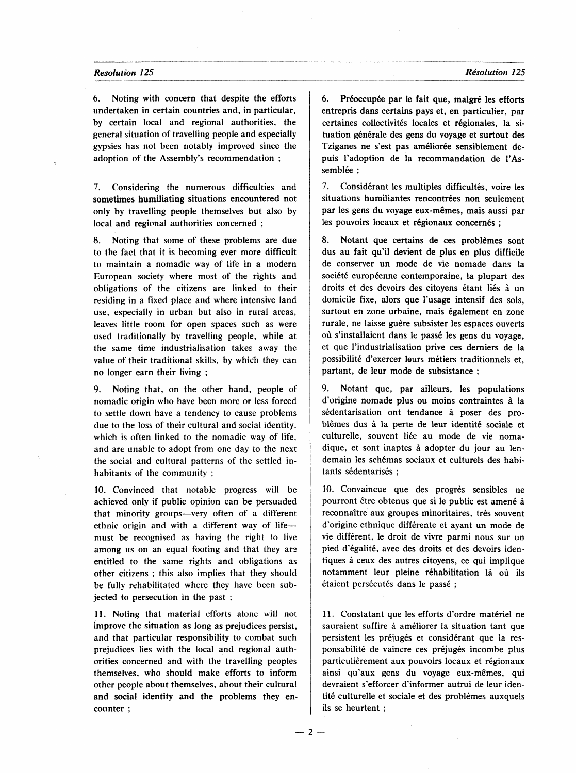6. Noting with concern that despite the efforts undertaken in certain countries and, in particular, by certain local and regional authorities, the general situation of travelling people and especially gypsies has not been notably improved since the adoption of the Assembly's recommendation;

7. Considering the numerous difficulties and sometimes humiliating situations encountered not only by travelling people themselves but also by local and regional authorities concerned;

8. Noting that some of these problems are due to the fact that it is becoming ever more difficult to maintain a nomadic way of life in a modern European society where most of the rights and obligations of the citizens are linked to their residing in a fixed place and where intensive land use, especially in urban but also in rural areas, leaves little room for open spaces such as were used traditionally by travelling people, while at the same time industrialisation takes away the value of their traditional skills, by which they can no longer earn their living;

9. Noting that, on the other hand, people of nomadic origin who have been more or less forced to settle down have a tendency to cause problems due to the loss of their cultural and social identity, which is often linked to the nomadic way of life, and are unable to adopt from one day to the next the social and cultural patterns of the settled inhabitants of the community;

10. Convinced that notable progress will be achieved only if public opinion can be persuaded that minority groups-very often of a different ethnic origin and with a different way of lifemust be recognised as having the right to live among us on an equal footing and that they are entitled to the same rights and obligations as other citizens; this also implies that they should be fully rehabilitated where they have been subjected to persecution in the past;

11. Noting that material efforts alone will not improve the situation as long as prejudices persist, and that particular responsibility to combat such prejudices lies with the local and regional authorities concerned and with the travelling peoples themselves, who should make efforts to inform other people about themselves, about their cultural and social identity and the problems they encounter;

6. Préoccupée par le fait que, malgré les efforts entrepris dans certains pays et, en particulier, par certaines collectivités locales et régionales, la situation générale des gens du voyage et surtout des Tziganes ne s'est pas améliorée sensiblement depuis l'adoption de la recommandation de l'Assemblée ;

7. Considérant les multiples difficultés, voire les situations humiliantes rencontrées non seulement par les gens du voyage eux-mêmes, mais aussi par les pouvoirs locaux et régionaux concernés;

8. Notant que certains de ces problèmes sont dus au fait qu'il devient de plus en plus difficile de conserver un mode de vie nomade dans la société européenne contemporaine, la plupart des droits et des devoirs des citoyens étant liés à un domicile fixe, alors que l'usage intensif des sols, surtout en zone urbaine, mais également en zone rurale, ne laisse guère subsister les espaces ouverts où s'installaient dans le passé les gens du voyage, et que l'industrialisation prive ces derniers de la possibilité d'exercer leurs métiers traditionnels et, partant, de leur mode de subsistance;

9. Notant que, par ailleurs, les populations d'origine nomade plus ou moins contraintes à la sédentarisation ont tendance à poser des problèmes dus à la perte de leur identité sociale et culturelle, souvent liée au mode de vie nomadique, et sont inaptes à adopter du jour au lendemain les schémas sociaux et culturels des habitants sédentarisés;

10. Convaincue que des progrès sensibles ne pourront être obtenus que si le public est amené à reconnaître aux groupes minoritaires, très souvent d'origine ethnique différente et ayant un mode de vie différent, le droit de vivre parmi nous sur un pied d'égalité, avec des droits et des devoirs identiques à ceux des autres citoyens, ce qui implique notamment leur pleine réhabilitation là où ils étaient persécutés dans le passé;

11. Constatant que les efforts d'ordre matériel ne sauraient suffire à améliorer la situation tant que persistent les préjugés et considérant que la responsabilité de vaincre ces préjugés incombe plus particulièrement aux pouvoirs locaux et régionaux ainsi qu'aux gens du voyage eux-mêmes, qui devraient s'efforcer d'informer autrui de leur identité culturelle et sociale et des problèmes auxquels ils se heurtent;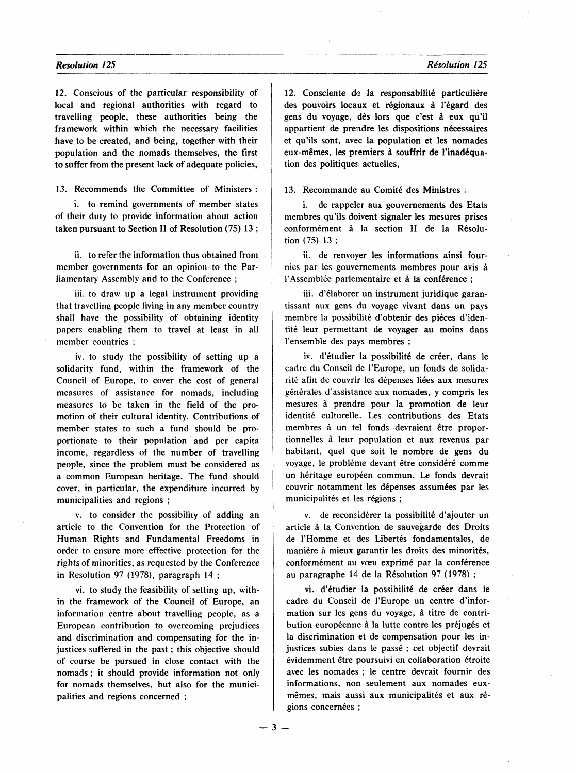12. Conscious of the particular responsibility of local and regional authorities with regard to travelling people, these authorities being the framework within which the necessary facilities have to be created, and being, together with their population and the nomads themselves, the first to suffer from the present lack of adequate policies,

13. Recommends the Committee of Ministers:

i. to remind governments of member states of their duty to provide information about action taken pursuant to Section II of Resolution (75) 13;

ii. to refer the information thus obtained from member governments for an opinion to the Parliamentary Assembly and to the Conference;

iii. to draw up a legal instrument providing that travelling people living in any member country shall have the possibility of obtaining identity papers enabling them to travel at least in all member countries;

iv. to study the possibility of setting up a solidarity fund, within the framework of the Council of Europe, to cover the cost of general measures of assistance for nomads, including measures to be taken in the field of the promotion of their cultural identity. Contributions of member states to such a fund should be proportionate to their population and per capita income, regardless of the number of travelling people, since the problem must be considered as a common European heritage. The fund should cover, in particular, the expenditure incurred by municipalities and regions;

v. to consider the possibility of adding an article to the Convention for the Protection of Human Rights and Fundamental Freedoms in order to ensure more effective protection for the rights of minorities, as requested by the Conference in Resolution 97 (1978), paragraph 14;

vi. to study the feasibility of setting up, within the framework of the Council of Europe, an information centre about travelling people, as a European contribution to overcoming prejudices and discrimination and compensating for the injustices suffered in the past; this objective should of course be pursued in close contact with the nomads; it should provide information not only for nomads themselves, but also for the municipalities and regions concerned;

12. Consciente de la responsabilité particulière des pouvoirs locaux et régionaux à l'égard des gens du voyage, dès lors que c'est à eux qu'il appartient de prendre les dispositions nécessaires et qu'ils sont, avec la population et les nomades eux-mêmes, les premiers à souffrir de l'inadéquation des politiques actuelles,

13. Recommande au Comité des Ministres:

i. de rappeler aux gouvernements des Etats membres qu'ils doivent signaler les mesures prises conformément à la section II de la Résolution (75) 13;

ii. de renvoyer les informations ainsi fournies par les gouvernements membres pour avis à l'Assemblée parlementaire et à la conférence;

iii. d'élaborer un instrument juridique garantissant aux gens du voyage vivant dans un pays membre la possibilité d'obtenir des pièces d'identité leur permettant de voyager au moins dans l'ensemble des pays membres;

iv. d'étudier la possibilité de créer, dans le cadre du Conseil de l'Europe, un fonds de solidarité afin de couvrir les dépenses liées aux mesures générales d'assistance aux nomades, y compris les mesures à prendre pour la promotion de leur identité culturelle. Les contributions des Etats membres à un tel fonds devraient être proportionnelles à leur population et aux revenus par habitant, quel que soit le nombre de gens du voyage, le problème devant être considéré comme un héritage européen commun. Le fonds devrait couvrir notamment les dépenses assumées par les municipalités et les régions;

v. de reconsidérer la possibilité d'ajouter un article à la Convention de sauvegarde des Droits de l'Homme et des Libertés fondamentales, de manière à mieux garantir les droits des minorités, conformément au vœu exprimé par la conférence au paragraphe 14 de la Résolution 97 (1978);

vi. d'étudier la possibilité de créer dans le cadre du Conseil de l'Europe un centre d'information sur les gens du voyage, à titre de contribution européenne à la lutte contre les préjugés et la discrimination et de compensation pour les injustices subies dans le passé ; cet objectif devrait évidemment être poursuivi en collaboration étroite avec les nomades; le centre devrait fournir des informations, non seulement aux nomades euxmêmes, mais aussi aux municipalités et aux régions concernées;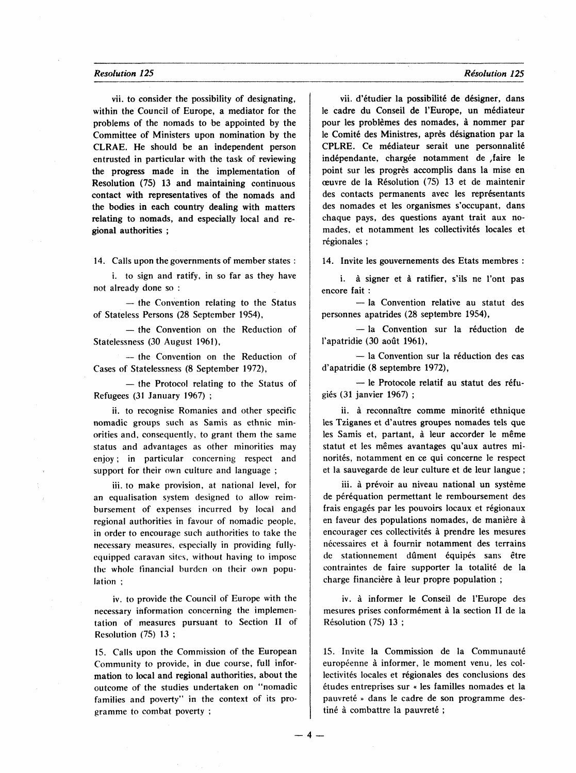vii. to consider the possibility of designating, within the Council of Europe, a mediator for the problems of the nomads to be appointed by the Committee of Ministers upon nomination by the CLRAE. He should be an independent person entrusted in particular with the task of reviewing the progress made in the implementation of Resolution (75) 13 and maintaining continuous contact with representatives of the nomads and the bodies in each country dealing with matters relating to nomads, and especially local and regional authorities;

14. Calls upon the governments of member states:

i. to sign and ratify, in so far as they have not already done so:

 $-$  the Convention relating to the Status of Stateless Persons (28 September 1954),

- the Convention on the Reduction of Statelessness (30 August 1961),

- the Convention on the Reduction of Cases of Statelessness (8 September 1972),

- the Protocol relating to the Status of Refugees (31 January 1967);

ii. to recognise Romanies and other specific nomadic groups such as Samis as ethnic minorities and, consequently, to grant them the same status and advantages as other minorities may enjoy; in particular concerning respect and support for their own culture and language;

iii. to make provision, at national level, for an equalisation system designed to allow reimbursement of expenses incurred by local and regional authorities in favour of nomadic people, in order to encourage such authorities to take the necessary measures, especially in providing fullyequipped caravan sites, without having to impose the whole financial burden on their own population;

iv. to provide the Council of Europe with the necessary information concerning the implementation of measures pursuant to Section II of Resolution (75) 13;

15. Calls upon the Commission of the European Community to provide, in due course, full information to local and regional authorities, about the outcome of the studies undertaken on "nomadic families and poverty" in the context of its programme to combat poverty;

vii. d'étudier la possibilité de désigner, dans le cadre du Conseil de l'Europe, un médiateur pour les problèmes des nomades, à nommer par le Comité des Ministres, après désignation par la CPLRE. Ce médiateur serait une personnalité indépendante, chargée notamment de faire le point sur les progrès accomplis dans la mise en œuvre de la Résolution (75) 13 et de maintenir des contacts permanents avec les représentants des nomades et les organismes s'occupant, dans chaque pays, des questions ayant trait aux nomades, et notamment les collectivités locales et régionales :

14. Invite les gouvernements des Etats membres:

i. à signer et à ratifier, s'ils ne l'ont pas encore fait:

- la Convention relative au statut des personnes apatrides (28 septembre 1954),

- la Convention sur la réduction de l'apatridie (30 août 1961),

 $-$  la Convention sur la réduction des cas d'apatridie (8 septembre 1972),

- le Protocole relatif au statut des réfugiés (31 janvier 1967);

ii. à reconnaître comme minorité ethnique les Tziganes et d'autres groupes nomades tels que les Samis et, partant, à leur accorder le même statut et les mêmes avantages qu'aux autres minorités, notamment en ce qui concerne le respect et la sauvegarde de leur culture et de leur langue;

iii. à prévoir au niveau national un système de péréquation permettant le remboursement des frais engagés par les pouvoirs locaux et régionaux en faveur des populations nomades, de manière à encourager ces collectivités à prendre les mesures nécessaires et à fournir notamment des terrains de stationnement dûment équipés sans être contraintes de faire supporter la totalité de la charge financière à leur propre population;

iv. à informer le Conseil de l'Europe des mesures prises conformément à la section II de la Résolution (75) 13;

15. Invite la Commission de la Communauté européenne à informer, le moment venu, les collectivités locales et régionales des conclusions des études entreprises sur « les familles nomades et la pauvreté » dans le cadre de son programme destiné à combattre la pauvreté ;

Résolution 125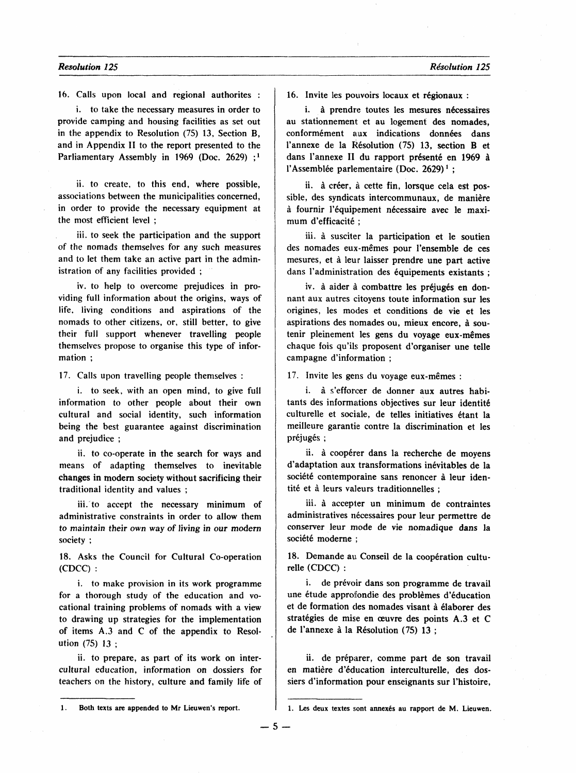16. Calls upon local and regional authorites:

i. to take the necessary measures in order to provide camping and housing facilities as set out in the appendix to Resolution (75) 13, Section B, and in Appendix II to the report presented to the Parliamentary Assembly in 1969 (Doc. 2629);<sup>1</sup>

ii. to create, to this end, where possible, associations between the municipalities concerned, in order to provide the necessary equipment at the most efficient level;

iii. to seek the participation and the support of the nomads themselves for any such measures and to let them take an active part in the administration of any facilities provided;

iv. to help to overcome prejudices in providing full information about the origins, ways of life, living conditions and aspirations of the nomads to other citizens, or, still better, to give their full support whenever travelling people themselves propose to organise this type of information;

17. Calls upon travelling people themselves:

i. to seek, with an open mind, to give full information to other people about their own cultural and social identity, such information being the best guarantee against discrimination and prejudice;

ii. to co-operate in the search for ways and means of adapting themselves to inevitable changes in modern society without sacrificing their traditional identity and values;

iii. to accept the necessary minimum of administrative constraints in order to allow them to maintain their own way of living in our modern society;

18. Asks the Council for Cultural Co-operation (CDCC):

i. to make provision in its work programme for a thorough study of the education and vocational training problems of nomads with a view to drawing up strategies for the implementation of items A.3 and C of the appendix to Resolution (75) 13;

ii. to prepare, as part of its work on intercultural education, information on dossiers for teachers on the history, culture and family life of 16. Invite les pouvoirs locaux et régionaux:

i. à prendre toutes les mesures nécessaires au stationnement et au logement des nomades, conformément aux indications données dans l'annexe de la Résolution (75) 13, section B et dans l'annexe II du rapport présenté en 1969 à l'Assemblée parlementaire (Doc. 2629)<sup>1</sup>;

ii. à créer, à cette fin, lorsque cela est possible, des syndicats intercommunaux, de manière à fournir l'équipement nécessaire avec le maximum d'efficacité;

iii. à susciter la participation et le soutien des nomades eux-mêmes pour l'ensemble de ces mesures, et à leur laisser prendre une part active dans l'administration des équipements existants;

iv. à aider à combattre les préjugés en donnant aux autres citoyens toute information sur les origines, les modes et conditions de vie et les aspirations des nomades ou, mieux encore, à soutenir pleinement les gens du voyage eux-mêmes chaque fois qu'ils proposent d'organiser une telle campagne d'information;

17. Invite les gens du voyage eux-mêmes:

i. à s'efforcer de donner aux autres habitants des informations objectives sur leur identité culturelle et sociale, de telles initiatives étant la meilleure garantie contre la discrimination et les préjugés;

ii. à coopérer dans la recherche de moyens d'adaptation aux transformations inévitables de la société contemporaine sans renoncer à leur identité et à leurs valeurs traditionnelles;

iii. à accepter un minimum de contraintes administratives nécessaires pour leur permettre de conserver leur mode de vie nomadique dans la société moderne;

18. Demande au Conseil de la coopération culturelle (CDCC):

i. de prévoir dans son programme de travail une étude approfondie des problèmes d'éducation et de formation des nomades visant à élaborer des stratégies de mise en œuvre des points A.3 et C de l'annexe à la Résolution (75) 13;

ii. de préparer, comme part de son travail en matière d'éducation interculturelle, des dossiers d'information pour enseignants sur l'histoire,

 $-5 -$ 

<sup>1.</sup> Both texts are appended to Mr Lieuwen's report.

<sup>1.</sup> Les deux textes sont annexés au rapport de M. Lieuwen.